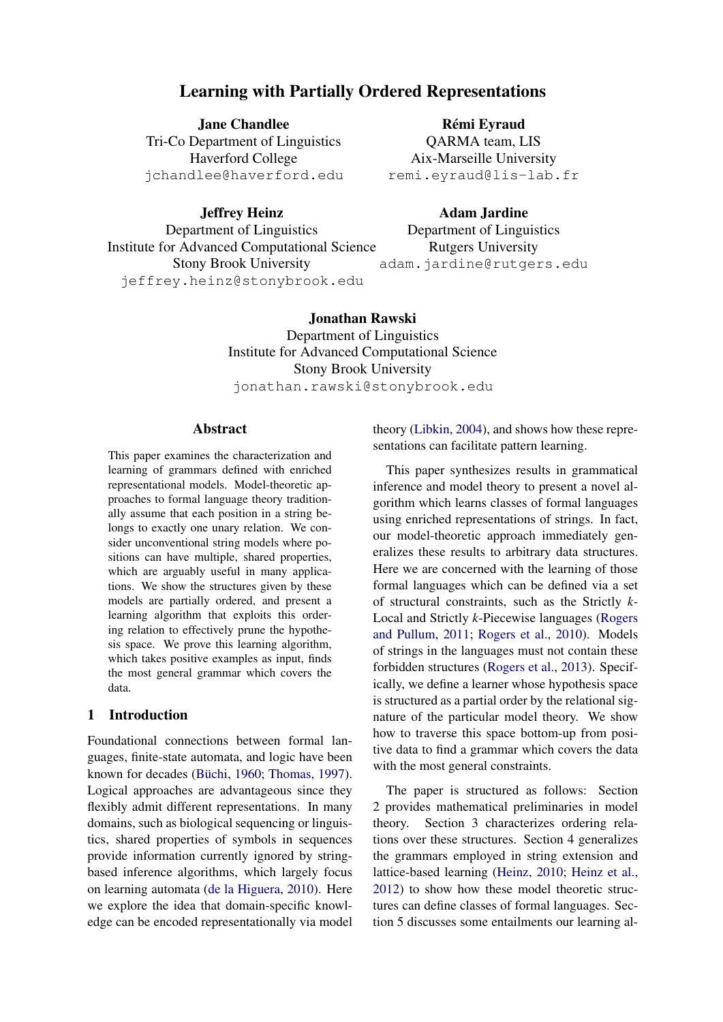# Learning with Partially Ordered Representations

Jane Chandlee Tri-Co Department of Linguistics Haverford College jchandlee@haverford.edu

Rémi Eyraud QARMA team, LIS Aix-Marseille University remi.eyraud@lis-lab.fr

Jeffrey Heinz Department of Linguistics Institute for Advanced Computational Science Stony Brook University jeffrey.heinz@stonybrook.edu

Adam Jardine Department of Linguistics Rutgers University adam.jardine@rutgers.edu

Jonathan Rawski Department of Linguistics Institute for Advanced Computational Science Stony Brook University jonathan.rawski@stonybrook.edu

## Abstract

This paper examines the characterization and learning of grammars defined with enriched representational models. Model-theoretic approaches to formal language theory traditionally assume that each position in a string belongs to exactly one unary relation. We consider unconventional string models where positions can have multiple, shared properties, which are arguably useful in many applications. We show the structures given by these models are partially ordered, and present a learning algorithm that exploits this ordering relation to effectively prune the hypothesis space. We prove this learning algorithm, which takes positive examples as input, finds the most general grammar which covers the data.

## 1 Introduction

Foundational connections between formal languages, finite-state automata, and logic have been known for decades (Büchi, [1960;](#page-9-0) [Thomas,](#page-10-0) [1997\)](#page-10-0). Logical approaches are advantageous since they flexibly admit different representations. In many domains, such as biological sequencing or linguistics, shared properties of symbols in sequences provide information currently ignored by stringbased inference algorithms, which largely focus on learning automata [\(de la Higuera,](#page-9-1) [2010\)](#page-9-1). Here we explore the idea that domain-specific knowledge can be encoded representationally via model theory [\(Libkin,](#page-9-2) [2004\)](#page-9-2), and shows how these representations can facilitate pattern learning.

This paper synthesizes results in grammatical inference and model theory to present a novel algorithm which learns classes of formal languages using enriched representations of strings. In fact, our model-theoretic approach immediately generalizes these results to arbitrary data structures. Here we are concerned with the learning of those formal languages which can be defined via a set of structural constraints, such as the Strictly *k*-Local and Strictly *k*-Piecewise languages [\(Rogers](#page-9-3) [and Pullum,](#page-9-3) [2011;](#page-9-3) [Rogers et al.,](#page-9-4) [2010\)](#page-9-4). Models of strings in the languages must not contain these forbidden structures [\(Rogers et al.,](#page-9-5) [2013\)](#page-9-5). Specifically, we define a learner whose hypothesis space is structured as a partial order by the relational signature of the particular model theory. We show how to traverse this space bottom-up from positive data to find a grammar which covers the data with the most general constraints.

The paper is structured as follows: Section 2 provides mathematical preliminaries in model theory. Section 3 characterizes ordering relations over these structures. Section 4 generalizes the grammars employed in string extension and lattice-based learning [\(Heinz,](#page-9-6) [2010;](#page-9-6) [Heinz et al.,](#page-9-7) [2012\)](#page-9-7) to show how these model theoretic structures can define classes of formal languages. Section 5 discusses some entailments our learning al-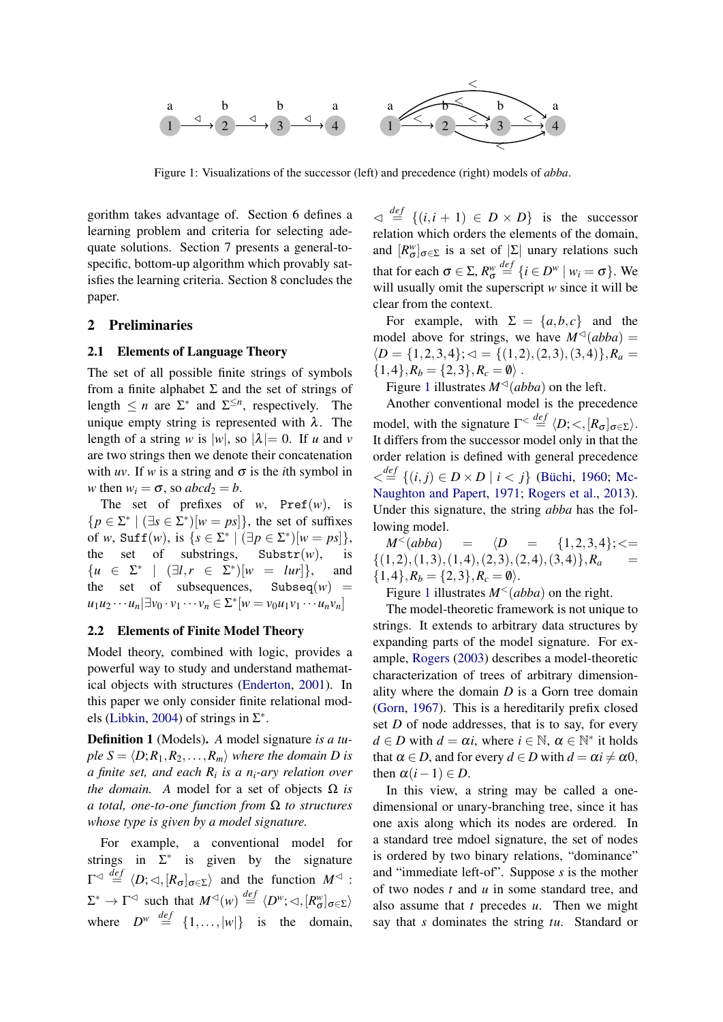<span id="page-1-0"></span>

Figure 1: Visualizations of the successor (left) and precedence (right) models of *abba*.

gorithm takes advantage of. Section 6 defines a learning problem and criteria for selecting adequate solutions. Section 7 presents a general-tospecific, bottom-up algorithm which provably satisfies the learning criteria. Section 8 concludes the paper.

## 2 Preliminaries

#### 2.1 Elements of Language Theory

The set of all possible finite strings of symbols from a finite alphabet  $\Sigma$  and the set of strings of length  $\leq n$  are  $\Sigma^*$  and  $\Sigma^{\leq n}$ , respectively. The unique empty string is represented with  $\lambda$ . The length of a string *w* is  $|w|$ , so  $|\lambda| = 0$ . If *u* and *v* are two strings then we denote their concatenation with *uv*. If *w* is a string and  $\sigma$  is the *i*th symbol in *w* then  $w_i = \sigma$ , so  $abcd_2 = b$ .

The set of prefixes of  $w$ , Pref( $w$ ), is  ${p \in \Sigma^* \mid (\exists s \in \Sigma^*)[w = ps]},$  the set of suffixes of *w*,  $\text{Suff}(w)$ , is  $\{s \in \Sigma^* \mid (\exists p \in \Sigma^*)[w = ps]\},$ the set of substrings, Substr $(w)$ , is  $\{u \in \Sigma^* \mid (\exists l, r \in \Sigma^*)[w = lur]\}, \text{ and}$ the set of subsequences, Subseq $(w)$  =  $u_1 u_2 \cdots u_n$   $\exists v_0 \cdot v_1 \cdots v_n \in \Sigma^* [w = v_0 u_1 v_1 \cdots u_n v_n]$ 

#### 2.2 Elements of Finite Model Theory

Model theory, combined with logic, provides a powerful way to study and understand mathematical objects with structures [\(Enderton,](#page-9-8) [2001\)](#page-9-8). In this paper we only consider finite relational mod-els [\(Libkin,](#page-9-2) [2004\)](#page-9-2) of strings in  $\Sigma^*$ .

Definition 1 (Models). *A* model signature *is a tuple*  $S = \langle D; R_1, R_2, \ldots, R_m \rangle$  *where the domain D is a finite set, and each R<sup>i</sup> is a ni-ary relation over the domain.* A model for a set of objects  $\Omega$  *is a total, one-to-one function from* Ω *to structures whose type is given by a model signature.*

For example, a conventional model for strings in  $\Sigma^*$  is given by the signature  $\Gamma^{\lhd} \stackrel{def}{=} \langle D; \lhd, [R_{\sigma}]_{\sigma \in \Sigma} \rangle$  and the function  $M^{\lhd}$ :  $\Sigma^* \to \Gamma^{\lhd}$  such that  $M^{\lhd}(w) \stackrel{def}{=} \langle D^w; \lhd, [R^w_{\sigma}]_{\sigma \in \Sigma} \rangle$ where  $D^w \stackrel{def}{=} \{1,\ldots,|w|\}$  is the domain,

 $\varphi \stackrel{\text{def}}{=} \{(i, i+1) \in D \times D\}$  is the successor relation which orders the elements of the domain, and  $[R^w_{\sigma}]_{\sigma \in \Sigma}$  is a set of  $|\Sigma|$  unary relations such that for each  $\sigma \in \Sigma$ ,  $R_{\sigma}^{w}$  $\stackrel{def}{=}$  {*i*  $\in$  *D<sup>w</sup>* | *w*<sub>*i*</sub> =  $\sigma$ }. We will usually omit the superscript *w* since it will be clear from the context.

For example, with  $\Sigma = \{a, b, c\}$  and the model above for strings, we have  $M^{\triangleleft}(abba)$  =  $\{D = \{1, 2, 3, 4\}; \triangleleft = \{(1, 2), (2, 3), (3, 4)\}, R_a =$  $\{1,4\}, R_b = \{2,3\}, R_c = \emptyset$ .

Figure [1](#page-1-0) illustrates  $M^{\triangleleft}(abba)$  on the left.

Another conventional model is the precedence model, with the signature  $\Gamma^{\lt} \stackrel{def}{=} \langle D; \lt, ,[R_{\sigma}]_{\sigma \in \Sigma} \rangle$ . It differs from the successor model only in that the order relation is defined with general precedence  $\langle \xi | \xi | (i, j) \in D \times D | i \leq j \rangle$  (Büchi, [1960;](#page-9-0) [Mc-](#page-9-9)[Naughton and Papert,](#page-9-9) [1971;](#page-9-9) [Rogers et al.,](#page-9-5) [2013\)](#page-9-5). Under this signature, the string *abba* has the following model.

 $M^{<}(abba)$  =  $\langle D = \{1,2,3,4\};\leq$  $\{(1,2),(1,3),(1,4),(2,3),(2,4),(3,4)\}$ *, R<sub>a</sub>*  $\{1,4\}, R_b = \{2,3\}, R_c = \emptyset$ .

Figure [1](#page-1-0) illustrates  $M<sup>{\leq}(abba)</sup>$  on the right.

The model-theoretic framework is not unique to strings. It extends to arbitrary data structures by expanding parts of the model signature. For example, [Rogers](#page-9-10) [\(2003\)](#page-9-10) describes a model-theoretic characterization of trees of arbitrary dimensionality where the domain *D* is a Gorn tree domain [\(Gorn,](#page-9-11) [1967\)](#page-9-11). This is a hereditarily prefix closed set *D* of node addresses, that is to say, for every  $d \in D$  with  $d = \alpha i$ , where  $i \in \mathbb{N}$ ,  $\alpha \in \mathbb{N}^*$  it holds that  $\alpha \in D$ , and for every  $d \in D$  with  $d = \alpha i \neq \alpha 0$ , then  $\alpha(i-1) \in D$ .

In this view, a string may be called a onedimensional or unary-branching tree, since it has one axis along which its nodes are ordered. In a standard tree mdoel signature, the set of nodes is ordered by two binary relations, "dominance" and "immediate left-of". Suppose *s* is the mother of two nodes *t* and *u* in some standard tree, and also assume that *t* precedes *u*. Then we might say that *s* dominates the string *tu*. Standard or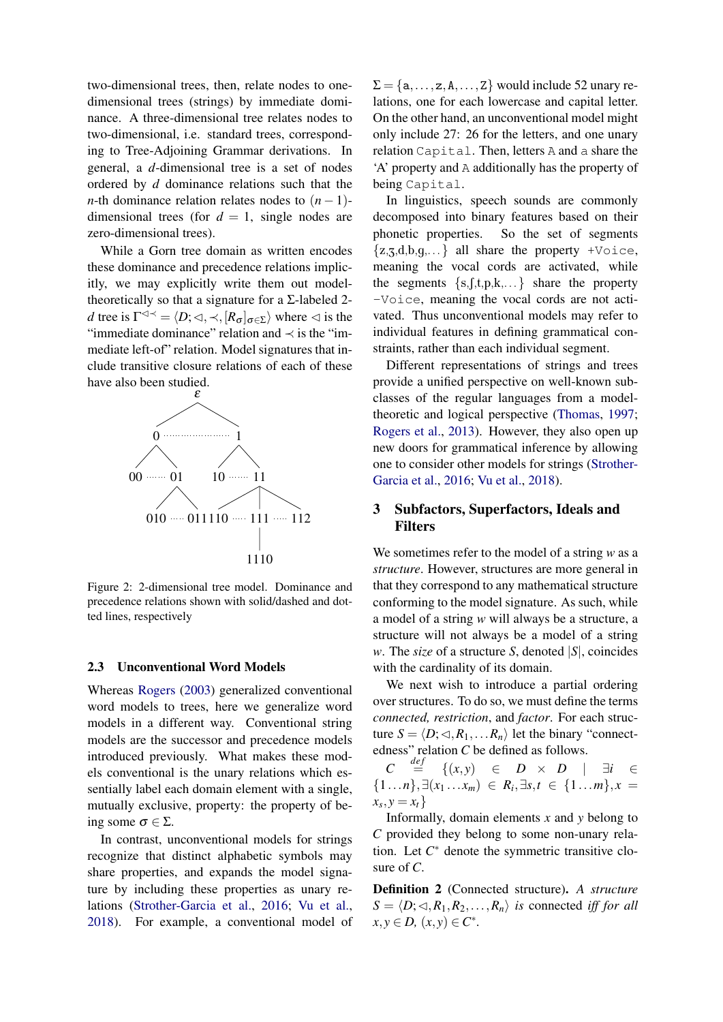two-dimensional trees, then, relate nodes to onedimensional trees (strings) by immediate dominance. A three-dimensional tree relates nodes to two-dimensional, i.e. standard trees, corresponding to Tree-Adjoining Grammar derivations. In general, a *d*-dimensional tree is a set of nodes ordered by *d* dominance relations such that the *n*-th dominance relation relates nodes to  $(n-1)$ dimensional trees (for  $d = 1$ , single nodes are zero-dimensional trees).

While a Gorn tree domain as written encodes these dominance and precedence relations implicitly, we may explicitly write them out modeltheoretically so that a signature for a  $\Sigma$ -labeled 2*d* tree is  $\Gamma^{\triangleleft \prec} = \langle D; \triangleleft, \prec, [R_{\sigma}]_{\sigma \in \Sigma} \rangle$  where  $\triangleleft$  is the "immediate dominance" relation and ≺ is the "immediate left-of" relation. Model signatures that include transitive closure relations of each of these have also been studied.



Figure 2: 2-dimensional tree model. Dominance and precedence relations shown with solid/dashed and dotted lines, respectively

#### 2.3 Unconventional Word Models

Whereas [Rogers](#page-9-10) [\(2003\)](#page-9-10) generalized conventional word models to trees, here we generalize word models in a different way. Conventional string models are the successor and precedence models introduced previously. What makes these models conventional is the unary relations which essentially label each domain element with a single, mutually exclusive, property: the property of being some  $\sigma \in \Sigma$ .

In contrast, unconventional models for strings recognize that distinct alphabetic symbols may share properties, and expands the model signature by including these properties as unary relations [\(Strother-Garcia et al.,](#page-10-1) [2016;](#page-10-1) [Vu et al.,](#page-10-2) [2018\)](#page-10-2). For example, a conventional model of  $\Sigma = \{a, \ldots, z, A, \ldots, Z\}$  would include 52 unary relations, one for each lowercase and capital letter. On the other hand, an unconventional model might only include 27: 26 for the letters, and one unary relation Capital. Then, letters A and a share the 'A' property and A additionally has the property of being Capital.

In linguistics, speech sounds are commonly decomposed into binary features based on their phonetic properties. So the set of segments  $\{z, z, d, b, q, \ldots\}$  all share the property +Voice, meaning the vocal cords are activated, while the segments  $\{s, f, t, p, k, \dots\}$  share the property -Voice, meaning the vocal cords are not activated. Thus unconventional models may refer to individual features in defining grammatical constraints, rather than each individual segment.

Different representations of strings and trees provide a unified perspective on well-known subclasses of the regular languages from a modeltheoretic and logical perspective [\(Thomas,](#page-10-0) [1997;](#page-10-0) [Rogers et al.,](#page-9-5) [2013\)](#page-9-5). However, they also open up new doors for grammatical inference by allowing one to consider other models for strings [\(Strother-](#page-10-1)[Garcia et al.,](#page-10-1) [2016;](#page-10-1) [Vu et al.,](#page-10-2) [2018\)](#page-10-2).

## 3 Subfactors, Superfactors, Ideals and Filters

We sometimes refer to the model of a string *w* as a *structure*. However, structures are more general in that they correspond to any mathematical structure conforming to the model signature. As such, while a model of a string *w* will always be a structure, a structure will not always be a model of a string *w*. The *size* of a structure *S*, denoted |*S*|, coincides with the cardinality of its domain.

We next wish to introduce a partial ordering over structures. To do so, we must define the terms *connected, restriction*, and *factor*. For each structure  $S = \langle D; \langle A, R_1, \ldots, R_n \rangle$  let the binary "connectedness" relation *C* be defined as follows.

*C*  $\frac{def}{=}$  $\{(x, y) \in D \times D \mid \exists i \in$  $\{1...n\}, \exists (x_1...x_m) \in R_i, \exists s,t \in \{1...m\}, x =$  $x_s, y = x_t$ 

Informally, domain elements *x* and *y* belong to *C* provided they belong to some non-unary relation. Let  $C^*$  denote the symmetric transitive closure of *C*.

Definition 2 (Connected structure). *A structure*  $S = \langle D; \lhd, R_1, R_2, \ldots, R_n \rangle$  *is* connected *iff for all*  $x, y \in D$ ,  $(x, y) \in C^*$ .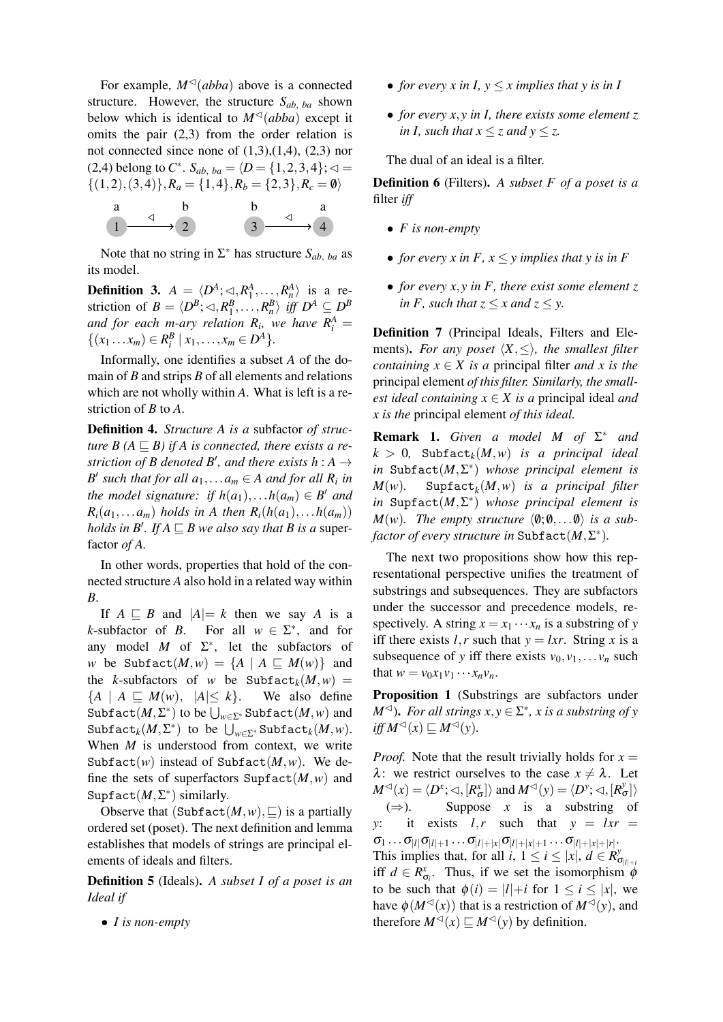For example,  $M^{\triangleleft}(abba)$  above is a connected structure. However, the structure  $S_{ab, ba}$  shown below which is identical to  $M<sup>{\triangleleft}</sup>$  (abba) except it omits the pair (2,3) from the order relation is not connected since none of  $(1,3),(1,4),(2,3)$  nor (2,4) belong to  $C^*$ .  $S_{ab, ba} = \langle D = \{1, 2, 3, 4\}; \triangleleft =$  $\{(1,2),(3,4)\},R_a=\{1,4\},R_b=\{2,3\},R_c=\emptyset$ 

a  
\n
$$
1 \xrightarrow{\vartriangleleft} 2 \xrightarrow{\qquad \qquad 3 \xrightarrow{\qquad \qquad 4}
$$

Note that no string in  $\Sigma^*$  has structure  $S_{ab, ba}$  as its model.

<span id="page-3-0"></span>**Definition 3.**  $A = \langle D^A; \triangleleft, R_1^A, \ldots, R_n^A \rangle$  is a restriction of  $B = \langle D^B; \triangleleft, R_1^B, \ldots, R_n^B \rangle$  iff  $D^A \subseteq D^B$ *and for each m-ary relation*  $R_i$ *, we have*  $R_i^A$  *=*  $\{(x_1 \ldots x_m) \in R_i^B \mid x_1, \ldots, x_m \in D^A\}.$ 

Informally, one identifies a subset *A* of the domain of *B* and strips *B* of all elements and relations which are not wholly within *A*. What is left is a restriction of *B* to *A*.

Definition 4. *Structure A is a* subfactor *of structure B*  $(A \sqsubseteq B)$  *if A is connected, there exists a restriction of B denoted B', and there exists h* :  $A \rightarrow$ *B*<sup> $\prime$ </sup> such that for all  $a_1, \ldots, a_m \in A$  and for all  $R_i$  in *the model signature: if*  $h(a_1), \ldots, h(a_m) \in B'$  *and*  $R_i(a_1,...a_m)$  *holds in A then*  $R_i(h(a_1),...h(a_m))$ *holds in B'. If*  $A \sqsubseteq B$  *we also say that B is a super*factor *of A.*

In other words, properties that hold of the connected structure *A* also hold in a related way within *B*.

If  $A \subseteq B$  and  $|A| = k$  then we say *A* is a *k*-subfactor of *B*. ∗ , and for any model  $M$  of  $\Sigma^*$ , let the subfactors of *w* be Subfact $(M, w) = \{A \mid A \sqsubseteq M(w)\}\$ and the *k*-subfactors of *w* be Subfact<sub>*k*</sub> $(M, w)$  =  ${A \mid A \subseteq M(w), |A| \leq k}.$  We also define  $\text{Subfact}(M, \Sigma^*)$  to be  $\bigcup_{w \in \Sigma^*} \text{Subfact}(M, w)$  and  $\text{Subfact}_{k}(M, \Sigma^*)$  to be  $\bigcup_{w \in \Sigma^*} \text{Subfact}_{k}(M, w)$ . When *M* is understood from context, we write Subfact $(w)$  instead of Subfact $(M, w)$ . We define the sets of superfactors  $\text{Supflact}(M, w)$  and Supfact(*M*,Σ ∗ ) similarly.

Observe that  $(\text{Subfact}(M, w), \sqsubseteq)$  is a partially ordered set (poset). The next definition and lemma establishes that models of strings are principal elements of ideals and filters.

Definition 5 (Ideals). *A subset I of a poset is an Ideal if*

• *I is non-empty*

- *for every x in I,*  $y \le x$  *implies that y is in I*
- *for every x*, *y in I, there exists some element z in I, such that*  $x \le z$  *and*  $y \le z$ *.*

The dual of an ideal is a filter.

Definition 6 (Filters). *A subset F of a poset is a* filter *iff*

- *F is non-empty*
- *for every x in F,*  $x \leq y$  *implies that y is in F*
- *for every x*, *y in F, there exist some element z in F, such that*  $z \leq x$  *and*  $z \leq y$ *.*

Definition 7 (Principal Ideals, Filters and Elements). *For any poset*  $\langle X, \leq \rangle$ *, the smallest filter containing*  $x \in X$  *is a* principal filter *and* x *is the* principal element *of this filter. Similarly, the smallest ideal containing*  $x \in X$  *is a* principal ideal *and x is the* principal element *of this ideal.*

Remark 1. *Given a model M of* Σ <sup>∗</sup> *and*  $k > 0$ , Subfact<sub>k</sub> $(M, w)$  *is a principal ideal in* Subfact(*M*,Σ ∗ ) *whose principal element is M*(*w*)*.* Supfact*<sup>k</sup>* (*M*,*w*) *is a principal filter in* Supfact(*M*,Σ ∗ ) *whose principal element is*  $M(w)$ *. The empty structure*  $\langle \emptyset; \emptyset, \ldots \emptyset \rangle$  *is a sub-* $\textit{factor of every structure in \text{Subfact}(M,\Sigma^*)}.$ 

The next two propositions show how this representational perspective unifies the treatment of substrings and subsequences. They are subfactors under the successor and precedence models, respectively. A string  $x = x_1 \cdots x_n$  is a substring of *y* iff there exists *l*, *r* such that  $y = lxr$ . String *x* is a subsequence of *y* iff there exists  $v_0, v_1, \ldots, v_n$  such that  $w = v_0 x_1 v_1 \cdots x_n v_n$ .

Proposition 1 (Substrings are subfactors under *M*<sup> $\triangleleft$ </sup>). *For all strings*  $x, y \in \Sigma^*$ , *x is a substring of y*  $if f M^{\lhd}(x) \sqsubseteq M^{\lhd}(y)$ .

*Proof.* Note that the result trivially holds for  $x =$  $\lambda$ : we restrict ourselves to the case  $x \neq \lambda$ . Let  $M^{\lhd}(x) = \langle D^x; \lhd, [R^x_{\sigma}]\rangle$  and  $M^{\lhd}(y) = \langle D^y; \lhd, [R^y_{\sigma}]\rangle$  $(\Rightarrow)$ . Suppose *x* is a substring of *y*: it exists  $l, r$  such that  $y = lxr$  =  $\sigma_1 \ldots \sigma_{|l|} \sigma_{|l|+1} \ldots \sigma_{|l|+|x|} \sigma_{|l|+|x|+1} \ldots \sigma_{|l|+|x|+|r|}.$ This implies that, for all *i*,  $1 \le i \le |x|$ ,  $d \in R^y$  $\sigma_{|l|+i}$ iff  $d \in R^x_{\sigma_i}$ . Thus, if we set the isomorphism  $\phi$ to be such that  $\phi(i) = |l| + i$  for  $1 \le i \le |x|$ , we have  $\phi(M^{\lhd}(x))$  that is a restriction of  $M^{\lhd}(y)$ , and therefore  $M^{\lhd}(x) \sqsubseteq M^{\lhd}(y)$  by definition.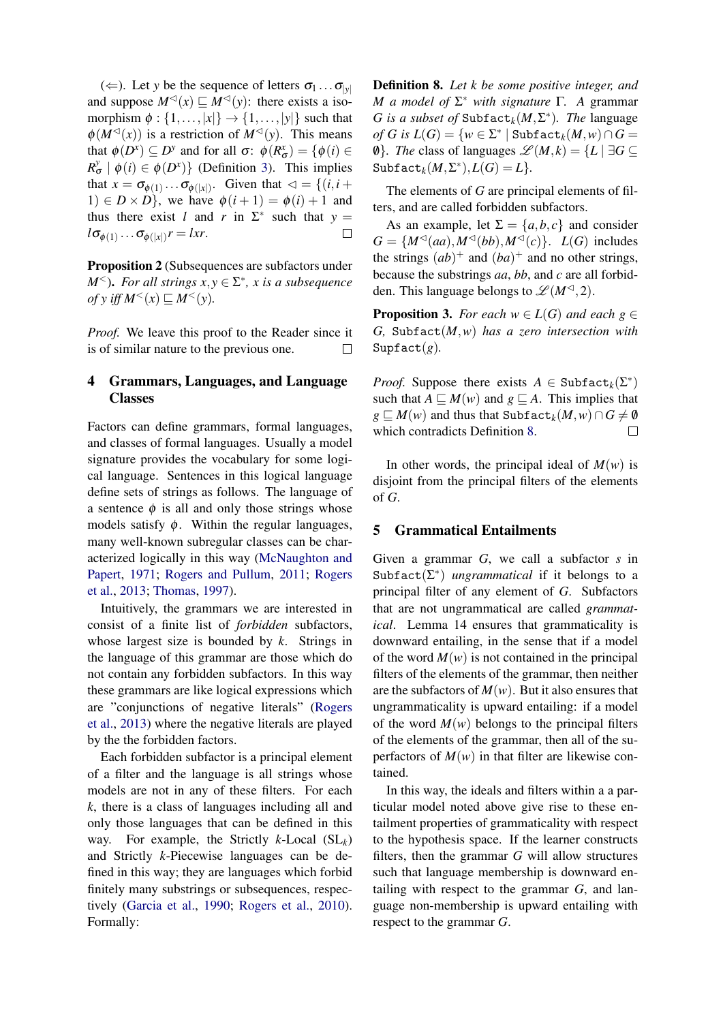$(\Leftarrow)$ . Let *y* be the sequence of letters  $\sigma_1 \dots \sigma_{|\nu|}$ and suppose  $M^{\lhd}(x) \sqsubseteq M^{\lhd}(y)$ : there exists a isomorphism  $\phi : \{1, \ldots, |x|\} \rightarrow \{1, \ldots, |y|\}$  such that  $\phi(M^{\lhd}(x))$  is a restriction of  $M^{\lhd}(y)$ . This means that  $\phi(D^x) \subseteq D^y$  and for all  $\sigma: \phi(R^x_{\sigma}) = {\phi(i) \in \mathbb{R}^n}$  $R_{\sigma}^{\gamma} \mid \phi(i) \in \phi(D^{\chi})\}$  (Definition [3\)](#page-3-0). This implies that  $x = \sigma_{\phi(1)} \dots \sigma_{\phi(|x|)}$ . Given that  $\lhd = \{(i, i +$ 1)  $\in D \times D$ , we have  $\phi(i+1) = \phi(i) + 1$  and thus there exist *l* and *r* in  $\Sigma^*$  such that  $y =$  $l\sigma_{\phi(1)}\dots\sigma_{\phi(|x|)}r = lxr$ .  $\Box$ 

Proposition 2 (Subsequences are subfactors under *M*<sup> $\le$ </sup>). *For all strings*  $x, y \in \Sigma^*$ , *x is a subsequence*  $of$  *y iff*  $M^<(x) \sqsubseteq M^<(y)$ .

*Proof.* We leave this proof to the Reader since it is of similar nature to the previous one.  $\Box$ 

## 4 Grammars, Languages, and Language Classes

Factors can define grammars, formal languages, and classes of formal languages. Usually a model signature provides the vocabulary for some logical language. Sentences in this logical language define sets of strings as follows. The language of a sentence  $\phi$  is all and only those strings whose models satisfy  $\phi$ . Within the regular languages, many well-known subregular classes can be characterized logically in this way [\(McNaughton and](#page-9-9) [Papert,](#page-9-9) [1971;](#page-9-9) [Rogers and Pullum,](#page-9-3) [2011;](#page-9-3) [Rogers](#page-9-5) [et al.,](#page-9-5) [2013;](#page-9-5) [Thomas,](#page-10-0) [1997\)](#page-10-0).

Intuitively, the grammars we are interested in consist of a finite list of *forbidden* subfactors, whose largest size is bounded by *k*. Strings in the language of this grammar are those which do not contain any forbidden subfactors. In this way these grammars are like logical expressions which are "conjunctions of negative literals" [\(Rogers](#page-9-5) [et al.,](#page-9-5) [2013\)](#page-9-5) where the negative literals are played by the the forbidden factors.

Each forbidden subfactor is a principal element of a filter and the language is all strings whose models are not in any of these filters. For each *k*, there is a class of languages including all and only those languages that can be defined in this way. For example, the Strictly *k*-Local (SL*k*) and Strictly *k*-Piecewise languages can be defined in this way; they are languages which forbid finitely many substrings or subsequences, respectively [\(Garcia et al.,](#page-9-12) [1990;](#page-9-12) [Rogers et al.,](#page-9-4) [2010\)](#page-9-4). Formally:

<span id="page-4-0"></span>Definition 8. *Let k be some positive integer, and M a model of* Σ <sup>∗</sup> *with signature* Γ*. A* grammar *G* is a subset of Subfact<sub>k</sub> $(M, \Sigma^*)$ . The language  $of G$  is  $L(G) = \{w \in \Sigma^* \mid \texttt{Subfact}_k(M, w) \cap G = \emptyset\}$  $\emptyset$ *}. The* class of languages  $\mathcal{L}(M, k) = \{L | \exists G \subseteq$  $\text{Subfact}_{k}(M, \Sigma^{*}), L(G) = L$ 

The elements of *G* are principal elements of filters, and are called forbidden subfactors.

As an example, let  $\Sigma = \{a, b, c\}$  and consider  $G = \{M^{\lhd}(aa), M^{\lhd}(bb), M^{\lhd}(c)\}\$ . *L*(*G*) includes the strings  $(ab)^+$  and  $(ba)^+$  and no other strings, because the substrings *aa*, *bb*, and *c* are all forbidden. This language belongs to  $\mathscr{L}(M^{\lhd},2)$ .

**Proposition 3.** *For each*  $w \in L(G)$  *and each*  $g \in$ *G,* Subfact(*M*,*w*) *has a zero intersection with* Supfact $(g)$ *.* 

*Proof.* Suppose there exists  $A \in \text{Subfact}_{k}(\Sigma^*)$ such that  $A \subseteq M(w)$  and  $g \subseteq A$ . This implies that *g*  $\subseteq$  *M*(*w*) and thus that Subfact<sub>*k*</sub>(*M*,*w*)∩ *G*  $\neq$  *Ø* which contradicts Definition [8.](#page-4-0)  $\Box$ 

In other words, the principal ideal of  $M(w)$  is disjoint from the principal filters of the elements of *G*.

#### 5 Grammatical Entailments

Given a grammar *G*, we call a subfactor *s* in Subfact(Σ ∗ ) *ungrammatical* if it belongs to a principal filter of any element of *G*. Subfactors that are not ungrammatical are called *grammatical*. Lemma 14 ensures that grammaticality is downward entailing, in the sense that if a model of the word  $M(w)$  is not contained in the principal filters of the elements of the grammar, then neither are the subfactors of  $M(w)$ . But it also ensures that ungrammaticality is upward entailing: if a model of the word  $M(w)$  belongs to the principal filters of the elements of the grammar, then all of the superfactors of  $M(w)$  in that filter are likewise contained.

In this way, the ideals and filters within a a particular model noted above give rise to these entailment properties of grammaticality with respect to the hypothesis space. If the learner constructs filters, then the grammar *G* will allow structures such that language membership is downward entailing with respect to the grammar *G*, and language non-membership is upward entailing with respect to the grammar *G*.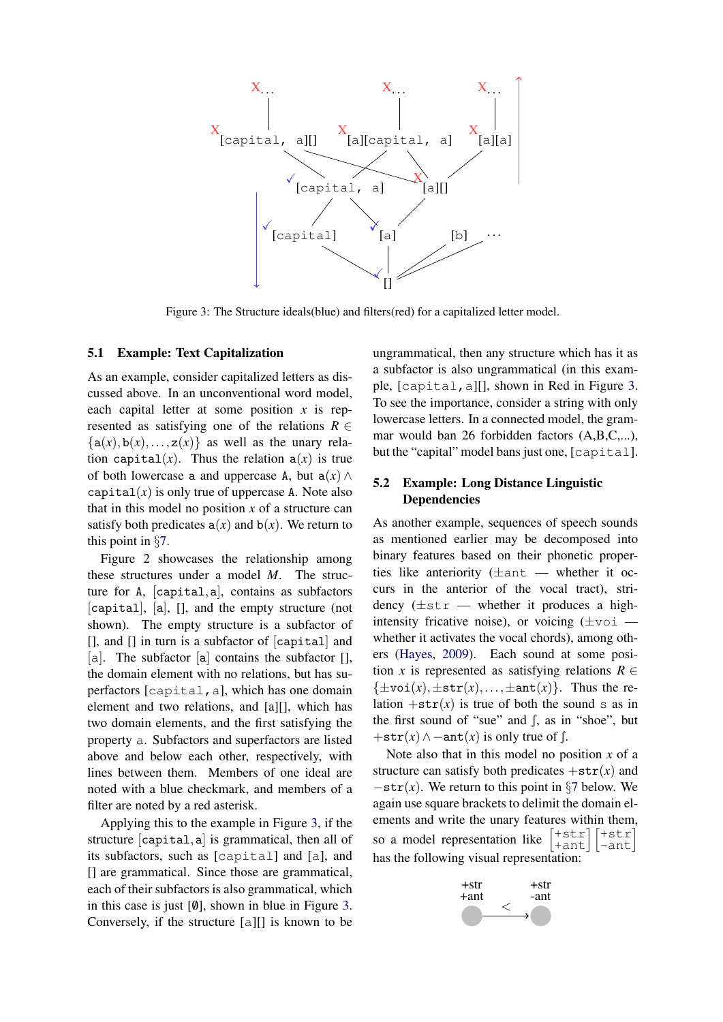<span id="page-5-0"></span>

Figure 3: The Structure ideals(blue) and filters(red) for a capitalized letter model.

### 5.1 Example: Text Capitalization

As an example, consider capitalized letters as discussed above. In an unconventional word model, each capital letter at some position *x* is represented as satisfying one of the relations  $R \in$  $\{a(x), b(x), \ldots, z(x)\}\$ as well as the unary relation capital(*x*). Thus the relation  $a(x)$  is true of both lowercase a and uppercase A, but  $a(x) \wedge$ capital $(x)$  is only true of uppercase A. Note also that in this model no position *x* of a structure can satisfy both predicates  $a(x)$  and  $b(x)$ . We return to this point in §[7.](#page-7-0)

Figure 2 showcases the relationship among these structures under a model *M*. The structure for A, [capital,a], contains as subfactors [capital], [a], [], and the empty structure (not shown). The empty structure is a subfactor of [], and [] in turn is a subfactor of [capital] and [a]. The subfactor  $[a]$  contains the subfactor  $[1, a]$ the domain element with no relations, but has superfactors [capital,a], which has one domain element and two relations, and [a][], which has two domain elements, and the first satisfying the property a. Subfactors and superfactors are listed above and below each other, respectively, with lines between them. Members of one ideal are noted with a blue checkmark, and members of a filter are noted by a red asterisk.

Applying this to the example in Figure [3,](#page-5-0) if the structure [capital,a] is grammatical, then all of its subfactors, such as [capital] and [a], and [] are grammatical. Since those are grammatical, each of their subfactors is also grammatical, which in this case is just  $[0]$ , shown in blue in Figure [3.](#page-5-0) Conversely, if the structure [a][] is known to be ungrammatical, then any structure which has it as a subfactor is also ungrammatical (in this example, [capital,a][], shown in Red in Figure [3.](#page-5-0) To see the importance, consider a string with only lowercase letters. In a connected model, the grammar would ban 26 forbidden factors (A,B,C,...), but the "capital" model bans just one, [capital].

## 5.2 Example: Long Distance Linguistic **Dependencies**

As another example, sequences of speech sounds as mentioned earlier may be decomposed into binary features based on their phonetic properties like anteriority  $(\pm$ ant — whether it occurs in the anterior of the vocal tract), stridency  $(\pm s \tau - w)$  whether it produces a highintensity fricative noise), or voicing  $(\pm \text{voi})$ whether it activates the vocal chords), among others [\(Hayes,](#page-9-13) [2009\)](#page-9-13). Each sound at some position *x* is represented as satisfying relations  $R \in$  $\{\pm \text{voi}(x), \pm \text{str}(x), \ldots, \pm \text{ant}(x)\}.$  Thus the relation  $+str(x)$  is true of both the sound s as in the first sound of "sue" and  $\int$ , as in "shoe", but  $+\text{str}(x) \wedge -\text{ant}(x)$  is only true of  $\int$ .

Note also that in this model no position *x* of a structure can satisfy both predicates  $+\text{str}(x)$  and −str(*x*). We return to this point in §[7](#page-7-0) below. We again use square brackets to delimit the domain elements and write the unary features within them, so a model representation like  $\begin{bmatrix} + \text{str} \\ + \text{ant} \end{bmatrix} \begin{bmatrix} + \text{str} \\ - \text{ant} \end{bmatrix}$ has the following visual representation:

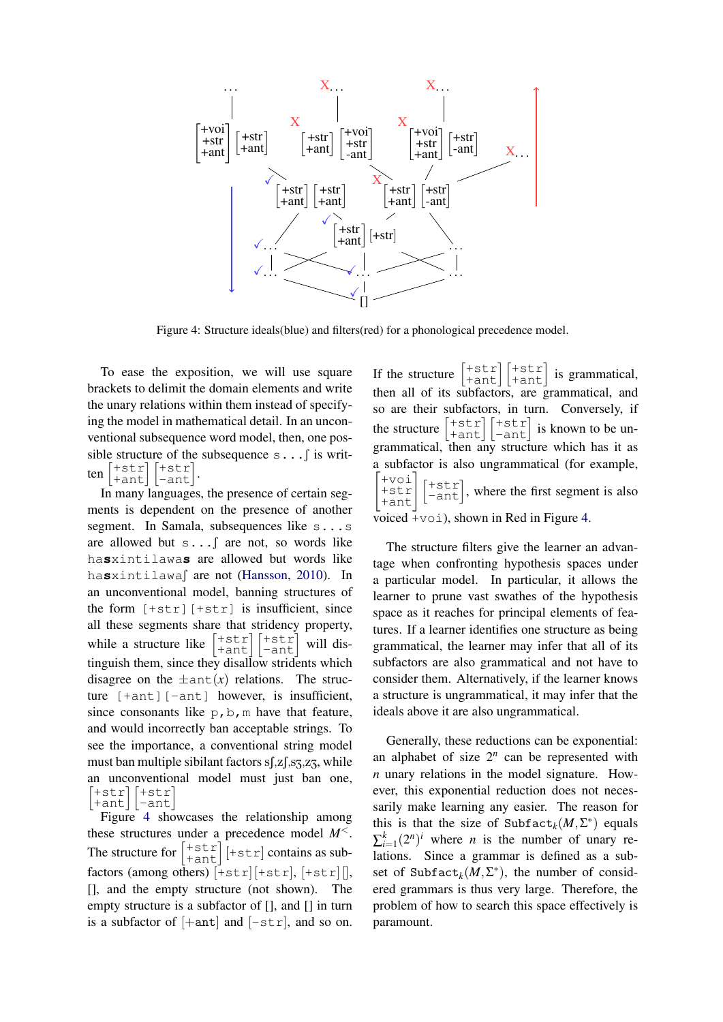<span id="page-6-0"></span>

Figure 4: Structure ideals(blue) and filters(red) for a phonological precedence model.

To ease the exposition, we will use square brackets to delimit the domain elements and write the unary relations within them instead of specifying the model in mathematical detail. In an unconventional subsequence word model, then, one possible structure of the subsequence  $s \dots$  is written +str||+str|<br>+ant||-ant| .

In many languages, the presence of certain segments is dependent on the presence of another segment. In Samala, subsequences like s...s are allowed but s... f are not, so words like ha**s**xintilawa**s** are allowed but words like hasxintilawas are not [\(Hansson,](#page-9-14) [2010\)](#page-9-14). In an unconventional model, banning structures of the form  $[+str]$   $[+str]$  is insufficient, since all these segments share that stridency property, while a structure like  $\begin{bmatrix} + \text{str} \\ + \text{ant} \end{bmatrix} \begin{bmatrix} + \text{str} \\ - \text{ant} \end{bmatrix}$ will distinguish them, since they disallow stridents which disagree on the  $\pm$ ant $(x)$  relations. The structure [+ant][-ant] however, is insufficient, since consonants like  $p, b, m$  have that feature, and would incorrectly ban acceptable strings. To see the importance, a conventional string model must ban multiple sibilant factors  $s$ [, $z$ [, $s$ 3, $z$ 3, $z$ ], while an unconventional model must just ban one,  $[+str$  $\begin{bmatrix} + \text{str} \\ + \text{ant} \end{bmatrix} \begin{bmatrix} + \text{str} \\ - \text{ant} \end{bmatrix}$ 

Figure [4](#page-6-0) showcases the relationship among these structures under a precedence model *M*<. The structure for  $\begin{bmatrix} +\text{str} \\ +\text{ant} \end{bmatrix}$  [+st r] contains as subfactors (among others)  $[+str][+str],$   $[+str][,$ [], and the empty structure (not shown). The empty structure is a subfactor of [], and [] in turn is a subfactor of  $[+ant]$  and  $[-str]$ , and so on.

If the structure  $\begin{bmatrix} + \text{str} \\ \text{+ant} \end{bmatrix} \begin{bmatrix} + \text{str} \\ \text{+ant} \end{bmatrix}$ is grammatical, then all of its subfactors, are grammatical, and so are their subfactors, in turn. Conversely, if the structure  $\begin{vmatrix} 15 & 1 \\ 7 & 21 \end{vmatrix}$ +str  $\begin{bmatrix} + \text{str} \\ + \text{ant} \end{bmatrix} \begin{bmatrix} + \text{str} \\ - \text{ant} \end{bmatrix}$ is known to be ungrammatical, then any structure which has it as a subfactor is also ungrammatical (for example,  $\sqrt{ }$ +voi +str +ant#  $\begin{bmatrix} + \text{str} \\ - \text{ant} \end{bmatrix}$ , where the first segment is also voiced  $+v$ oi), shown in Red in Figure [4.](#page-6-0)

The structure filters give the learner an advantage when confronting hypothesis spaces under a particular model. In particular, it allows the learner to prune vast swathes of the hypothesis space as it reaches for principal elements of features. If a learner identifies one structure as being grammatical, the learner may infer that all of its subfactors are also grammatical and not have to consider them. Alternatively, if the learner knows a structure is ungrammatical, it may infer that the ideals above it are also ungrammatical.

Generally, these reductions can be exponential: an alphabet of size  $2^n$  can be represented with *n* unary relations in the model signature. However, this exponential reduction does not necessarily make learning any easier. The reason for this is that the size of  $\text{Subfact}_{k}(M,\Sigma^{*})$  equals  $\sum_{i=1}^{k} (2^n)^i$  where *n* is the number of unary relations. Since a grammar is defined as a subset of  $\text{Subfact}_{k}(M,\Sigma^{*})$ , the number of considered grammars is thus very large. Therefore, the problem of how to search this space effectively is paramount.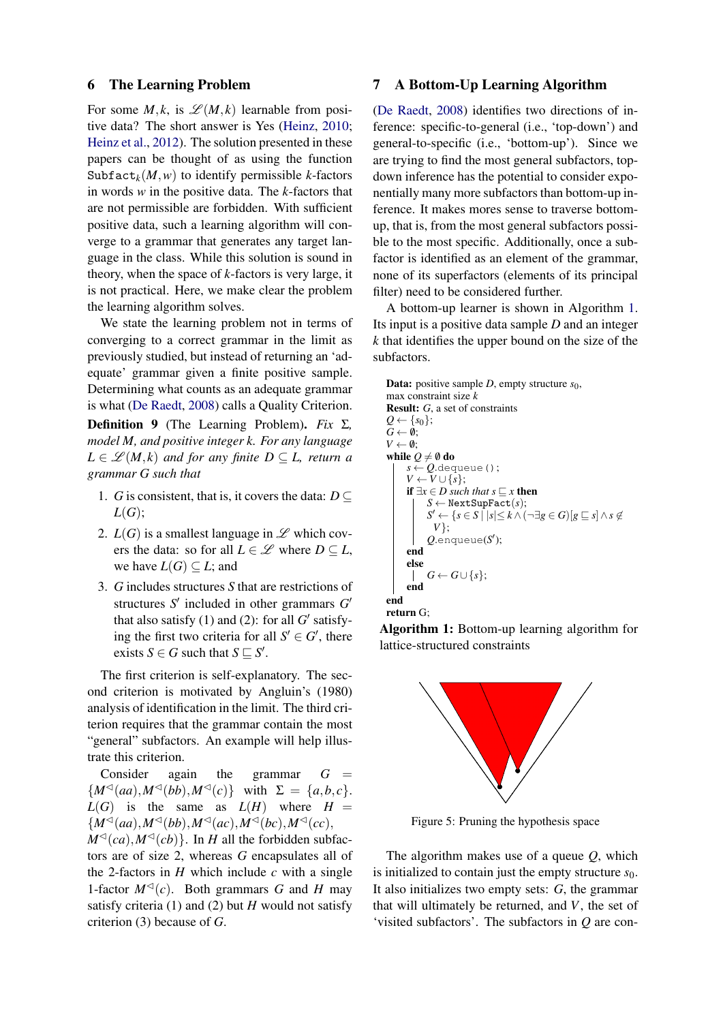#### 6 The Learning Problem

For some  $M, k$ , is  $\mathscr{L}(M, k)$  learnable from positive data? The short answer is Yes [\(Heinz,](#page-9-6) [2010;](#page-9-6) [Heinz et al.,](#page-9-7) [2012\)](#page-9-7). The solution presented in these papers can be thought of as using the function Subfact<sub>k</sub> $(M, w)$  to identify permissible *k*-factors in words *w* in the positive data. The *k*-factors that are not permissible are forbidden. With sufficient positive data, such a learning algorithm will converge to a grammar that generates any target language in the class. While this solution is sound in theory, when the space of *k*-factors is very large, it is not practical. Here, we make clear the problem the learning algorithm solves.

We state the learning problem not in terms of converging to a correct grammar in the limit as previously studied, but instead of returning an 'adequate' grammar given a finite positive sample. Determining what counts as an adequate grammar is what [\(De Raedt,](#page-9-15) [2008\)](#page-9-15) calls a Quality Criterion. Definition 9 (The Learning Problem). *Fix* Σ*,*

<span id="page-7-2"></span>*model M, and positive integer k. For any language*  $L \in \mathcal{L}(M, k)$  *and for any finite*  $D \subseteq L$ *, return a grammar G such that*

- 1. *G* is consistent, that is, it covers the data:  $D \subseteq$ *L*(*G*);
- 2.  $L(G)$  is a smallest language in  $\mathscr L$  which covers the data: so for all  $L \in \mathcal{L}$  where  $D \subseteq L$ , we have  $L(G) \subseteq L$ ; and
- 3. *G* includes structures *S* that are restrictions of structures  $S'$  included in other grammars  $G'$ that also satisfy  $(1)$  and  $(2)$ : for all  $G'$  satisfying the first two criteria for all  $S' \in G'$ , there exists *S*  $\in$  *G* such that *S*  $\subseteq$  *S'*.

The first criterion is self-explanatory. The second criterion is motivated by Angluin's (1980) analysis of identification in the limit. The third criterion requires that the grammar contain the most "general" subfactors. An example will help illustrate this criterion.

Consider again the grammar  $G =$  ${M^{\triangleleft}(aa), M^{\triangleleft}(bb), M^{\triangleleft}(c)}$  with  $\Sigma = \{a, b, c\}.$  $L(G)$  is the same as  $L(H)$  where  $H =$  ${M^{\triangleleft}(aa), M^{\triangleleft}(bb), M^{\triangleleft}(ac), M^{\triangleleft}(cc), M^{\triangleleft}(cc)},$ 

 $M^{\lhd}(ca)$ ,  $M^{\lhd}(cb)$ . In *H* all the forbidden subfactors are of size 2, whereas *G* encapsulates all of the 2-factors in  $H$  which include  $c$  with a single 1-factor  $M^{\triangleleft}(c)$ . Both grammars *G* and *H* may satisfy criteria (1) and (2) but *H* would not satisfy criterion (3) because of *G*.

### <span id="page-7-0"></span>7 A Bottom-Up Learning Algorithm

[\(De Raedt,](#page-9-15) [2008\)](#page-9-15) identifies two directions of inference: specific-to-general (i.e., 'top-down') and general-to-specific (i.e., 'bottom-up'). Since we are trying to find the most general subfactors, topdown inference has the potential to consider exponentially many more subfactors than bottom-up inference. It makes mores sense to traverse bottomup, that is, from the most general subfactors possible to the most specific. Additionally, once a subfactor is identified as an element of the grammar, none of its superfactors (elements of its principal filter) need to be considered further.

A bottom-up learner is shown in Algorithm [1.](#page-7-1) Its input is a positive data sample *D* and an integer *k* that identifies the upper bound on the size of the subfactors.

```
Data: positive sample D, empty structure s_0,
max constraint size k
Result: G, a set of constraints
Q \leftarrow \{s_0\};G \leftarrow \emptyset;V \leftarrow \emptyset;
while Q \neq \emptyset do
      s \leftarrow Q.dequeue();
      V \leftarrow V \cup \{s\};if ∃x ∈ D such that s ⊆ x then
             S \leftarrow NextSupFact(s);
             S' \leftarrow \{ s \in S \mid s \leq k \wedge (\neg \exists g \in G) [g \sqsubseteq s] \wedge s \not\inV};
             Q.enqueue(S
0
);
      end
      else
             G \leftarrow G \cup \{s\};\mathbb{R}end
end
return G;
```
<span id="page-7-1"></span>Algorithm 1: Bottom-up learning algorithm for lattice-structured constraints

<span id="page-7-3"></span>

Figure 5: Pruning the hypothesis space

The algorithm makes use of a queue *Q*, which is initialized to contain just the empty structure *s*0. It also initializes two empty sets: *G*, the grammar that will ultimately be returned, and *V*, the set of 'visited subfactors'. The subfactors in *Q* are con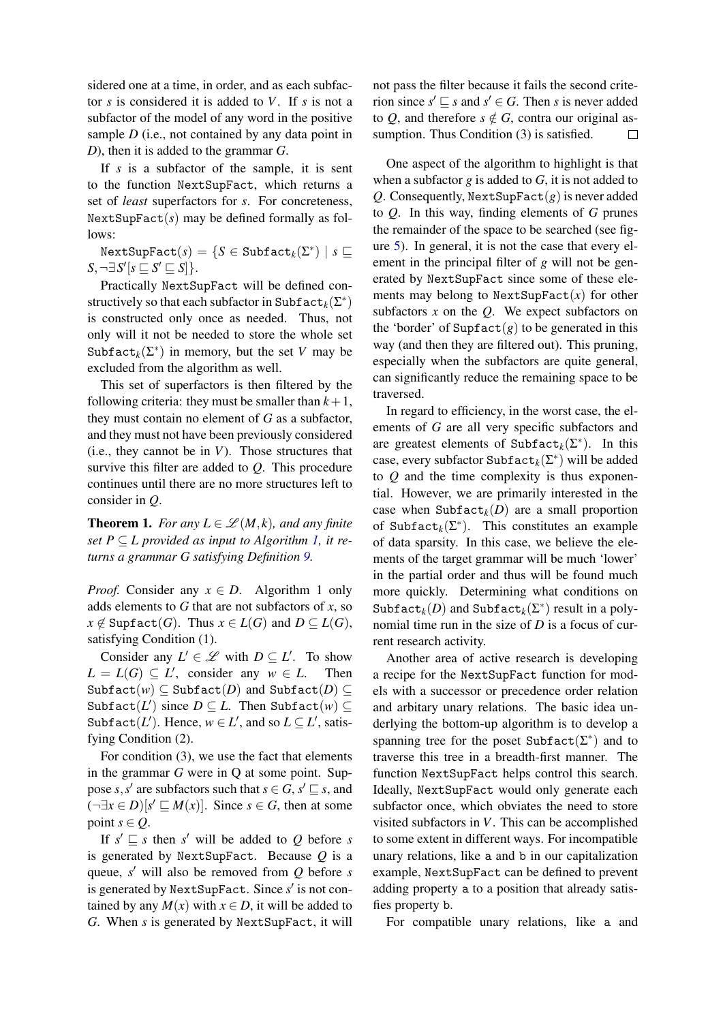sidered one at a time, in order, and as each subfactor *s* is considered it is added to *V*. If *s* is not a subfactor of the model of any word in the positive sample *D* (i.e., not contained by any data point in *D*), then it is added to the grammar *G*.

If *s* is a subfactor of the sample, it is sent to the function NextSupFact, which returns a set of *least* superfactors for *s*. For concreteness,  $NextSupFact(s)$  may be defined formally as follows:

 $\texttt{NextSupFact}(s) = \{ S \in \texttt{Subfact}_k(\Sigma^*) \mid s \sqsubseteq s \}$  $S, \neg \exists S' [s \sqsubseteq S' \sqsubseteq S]$ .

Practically NextSupFact will be defined constructively so that each subfactor in  $\texttt{Subfact}_{k}(\Sigma^*)$ is constructed only once as needed. Thus, not only will it not be needed to store the whole set Subfact<sub>k</sub>( $\Sigma^*$ ) in memory, but the set *V* may be excluded from the algorithm as well.

This set of superfactors is then filtered by the following criteria: they must be smaller than  $k+1$ , they must contain no element of *G* as a subfactor, and they must not have been previously considered (i.e., they cannot be in *V*). Those structures that survive this filter are added to *Q*. This procedure continues until there are no more structures left to consider in *Q*.

**Theorem 1.** *For any*  $L \in \mathcal{L}(M, k)$ *, and any finite set*  $P \subseteq L$  *provided as input to Algorithm [1,](#page-7-1) it returns a grammar G satisfying Definition [9.](#page-7-2)*

*Proof.* Consider any  $x \in D$ . Algorithm 1 only adds elements to *G* that are not subfactors of *x*, so  $x \notin$  Supfact(*G*). Thus  $x \in L(G)$  and  $D \subseteq L(G)$ , satisfying Condition (1).

Consider any  $L' \in \mathcal{L}$  with  $D \subseteq L'$ . To show  $L = L(G) \subseteq L'$ , consider any  $w \in L$ . Then  $Subfact(w) \subseteq Subfact(D)$  and  $Subfact(D) \subseteq$  $\text{Subfact}(L')$  since  $D \subseteq L$ . Then  $\text{Subfact}(w) \subseteq$ Subfact(*L'*). Hence,  $w \in L'$ , and so  $L \subseteq L'$ , satisfying Condition (2).

For condition (3), we use the fact that elements in the grammar *G* were in Q at some point. Suppose *s*, *s'* are subfactors such that  $s \in G$ ,  $s' \sqsubseteq s$ , and  $(\neg \exists x \in D)[s' \sqsubseteq M(x)].$  Since  $s \in G$ , then at some point  $s \in Q$ .

If  $s' \sqsubseteq s$  then  $s'$  will be added to Q before *s* is generated by NextSupFact. Because *Q* is a queue, *s'* will also be removed from *Q* before *s* is generated by NextSupFact. Since s' is not contained by any  $M(x)$  with  $x \in D$ , it will be added to *G*. When *s* is generated by NextSupFact, it will not pass the filter because it fails the second criterion since  $s' \sqsubseteq s$  and  $s' \in G$ . Then *s* is never added to *Q*, and therefore  $s \notin G$ , contra our original assumption. Thus Condition (3) is satisfied.  $\Box$ 

One aspect of the algorithm to highlight is that when a subfactor *g* is added to *G*, it is not added to *Q*. Consequently, NextSupFact $(g)$  is never added to *Q*. In this way, finding elements of *G* prunes the remainder of the space to be searched (see figure [5\)](#page-7-3). In general, it is not the case that every element in the principal filter of *g* will not be generated by NextSupFact since some of these elements may belong to  $NextSupFact(x)$  for other subfactors *x* on the *Q*. We expect subfactors on the 'border' of  $\text{Supfact}(g)$  to be generated in this way (and then they are filtered out). This pruning, especially when the subfactors are quite general, can significantly reduce the remaining space to be traversed.

In regard to efficiency, in the worst case, the elements of *G* are all very specific subfactors and are greatest elements of Subfact<sub>k</sub>( $\Sigma^*$ ). In this case, every subfactor Subfact $_k(\Sigma^*)$  will be added to *Q* and the time complexity is thus exponential. However, we are primarily interested in the case when  $\text{Subfact}_k(D)$  are a small proportion of Subfact<sub>k</sub>( $\Sigma^*$ ). This constitutes an example of data sparsity. In this case, we believe the elements of the target grammar will be much 'lower' in the partial order and thus will be found much more quickly. Determining what conditions on Subfact<sub>*k*</sub>(*D*) and Subfact<sub>*k*</sub>( $\Sigma^*$ ) result in a polynomial time run in the size of *D* is a focus of current research activity.

Another area of active research is developing a recipe for the NextSupFact function for models with a successor or precedence order relation and arbitary unary relations. The basic idea underlying the bottom-up algorithm is to develop a spanning tree for the poset  $\text{Subfact}(\Sigma^*)$  and to traverse this tree in a breadth-first manner. The function NextSupFact helps control this search. Ideally, NextSupFact would only generate each subfactor once, which obviates the need to store visited subfactors in *V*. This can be accomplished to some extent in different ways. For incompatible unary relations, like a and b in our capitalization example, NextSupFact can be defined to prevent adding property a to a position that already satisfies property b.

For compatible unary relations, like a and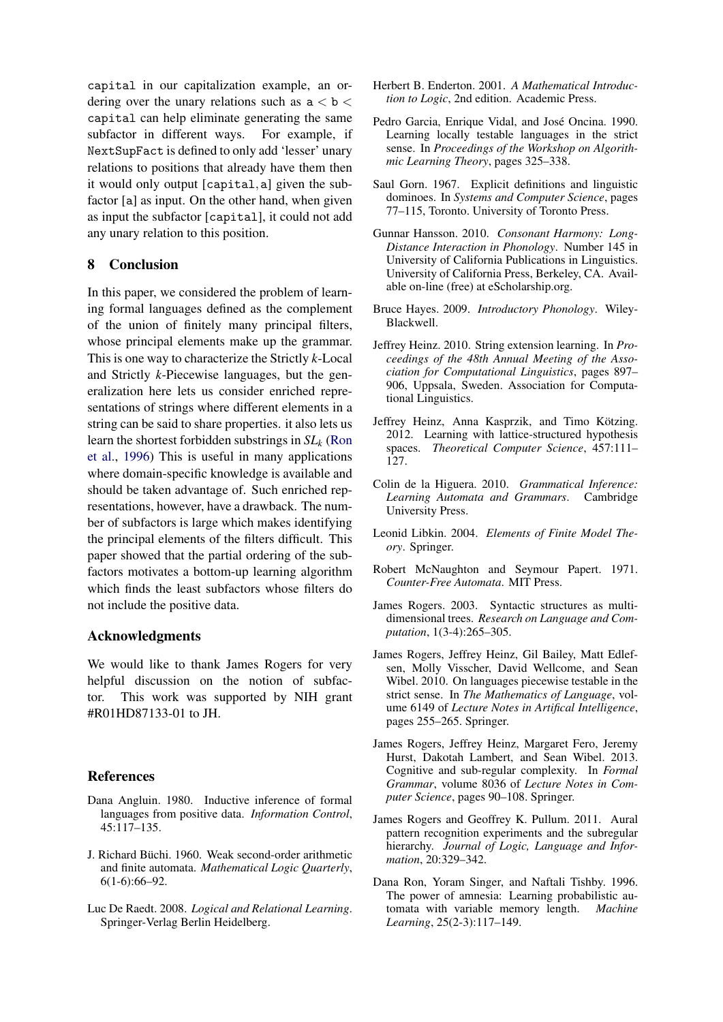capital in our capitalization example, an ordering over the unary relations such as  $a < b <$ capital can help eliminate generating the same subfactor in different ways. For example, if NextSupFact is defined to only add 'lesser' unary relations to positions that already have them then it would only output [capital,a] given the subfactor [a] as input. On the other hand, when given as input the subfactor [capital], it could not add any unary relation to this position.

## 8 Conclusion

In this paper, we considered the problem of learning formal languages defined as the complement of the union of finitely many principal filters, whose principal elements make up the grammar. This is one way to characterize the Strictly *k*-Local and Strictly *k*-Piecewise languages, but the generalization here lets us consider enriched representations of strings where different elements in a string can be said to share properties. it also lets us learn the shortest forbidden substrings in *SL<sup>k</sup>* [\(Ron](#page-9-16) [et al.,](#page-9-16) [1996\)](#page-9-16) This is useful in many applications where domain-specific knowledge is available and should be taken advantage of. Such enriched representations, however, have a drawback. The number of subfactors is large which makes identifying the principal elements of the filters difficult. This paper showed that the partial ordering of the subfactors motivates a bottom-up learning algorithm which finds the least subfactors whose filters do not include the positive data.

## Acknowledgments

We would like to thank James Rogers for very helpful discussion on the notion of subfactor. This work was supported by NIH grant #R01HD87133-01 to JH.

## References

- Dana Angluin. 1980. Inductive inference of formal languages from positive data. *Information Control*, 45:117–135.
- <span id="page-9-0"></span>J. Richard Büchi. 1960. Weak second-order arithmetic and finite automata. *Mathematical Logic Quarterly*, 6(1-6):66–92.
- <span id="page-9-15"></span>Luc De Raedt. 2008. *Logical and Relational Learning*. Springer-Verlag Berlin Heidelberg.
- <span id="page-9-8"></span>Herbert B. Enderton. 2001. *A Mathematical Introduction to Logic*, 2nd edition. Academic Press.
- <span id="page-9-12"></span>Pedro Garcia, Enrique Vidal, and José Oncina. 1990. Learning locally testable languages in the strict sense. In *Proceedings of the Workshop on Algorithmic Learning Theory*, pages 325–338.
- <span id="page-9-11"></span>Saul Gorn. 1967. Explicit definitions and linguistic dominoes. In *Systems and Computer Science*, pages 77–115, Toronto. University of Toronto Press.
- <span id="page-9-14"></span>Gunnar Hansson. 2010. *Consonant Harmony: Long-Distance Interaction in Phonology*. Number 145 in University of California Publications in Linguistics. University of California Press, Berkeley, CA. Available on-line (free) at eScholarship.org.
- <span id="page-9-13"></span>Bruce Hayes. 2009. *Introductory Phonology*. Wiley-Blackwell.
- <span id="page-9-6"></span>Jeffrey Heinz. 2010. String extension learning. In *Proceedings of the 48th Annual Meeting of the Association for Computational Linguistics*, pages 897– 906, Uppsala, Sweden. Association for Computational Linguistics.
- <span id="page-9-7"></span>Jeffrey Heinz, Anna Kasprzik, and Timo Kötzing. 2012. Learning with lattice-structured hypothesis spaces. *Theoretical Computer Science*, 457:111– 127.
- <span id="page-9-1"></span>Colin de la Higuera. 2010. *Grammatical Inference: Learning Automata and Grammars*. Cambridge University Press.
- <span id="page-9-2"></span>Leonid Libkin. 2004. *Elements of Finite Model Theory*. Springer.
- <span id="page-9-9"></span>Robert McNaughton and Seymour Papert. 1971. *Counter-Free Automata*. MIT Press.
- <span id="page-9-10"></span>James Rogers. 2003. Syntactic structures as multidimensional trees. *Research on Language and Computation*, 1(3-4):265–305.
- <span id="page-9-4"></span>James Rogers, Jeffrey Heinz, Gil Bailey, Matt Edlefsen, Molly Visscher, David Wellcome, and Sean Wibel. 2010. On languages piecewise testable in the strict sense. In *The Mathematics of Language*, volume 6149 of *Lecture Notes in Artifical Intelligence*, pages 255–265. Springer.
- <span id="page-9-5"></span>James Rogers, Jeffrey Heinz, Margaret Fero, Jeremy Hurst, Dakotah Lambert, and Sean Wibel. 2013. Cognitive and sub-regular complexity. In *Formal Grammar*, volume 8036 of *Lecture Notes in Computer Science*, pages 90–108. Springer.
- <span id="page-9-3"></span>James Rogers and Geoffrey K. Pullum. 2011. Aural pattern recognition experiments and the subregular hierarchy. *Journal of Logic, Language and Information*, 20:329–342.
- <span id="page-9-16"></span>Dana Ron, Yoram Singer, and Naftali Tishby. 1996. The power of amnesia: Learning probabilistic automata with variable memory length. *Machine Learning*, 25(2-3):117–149.